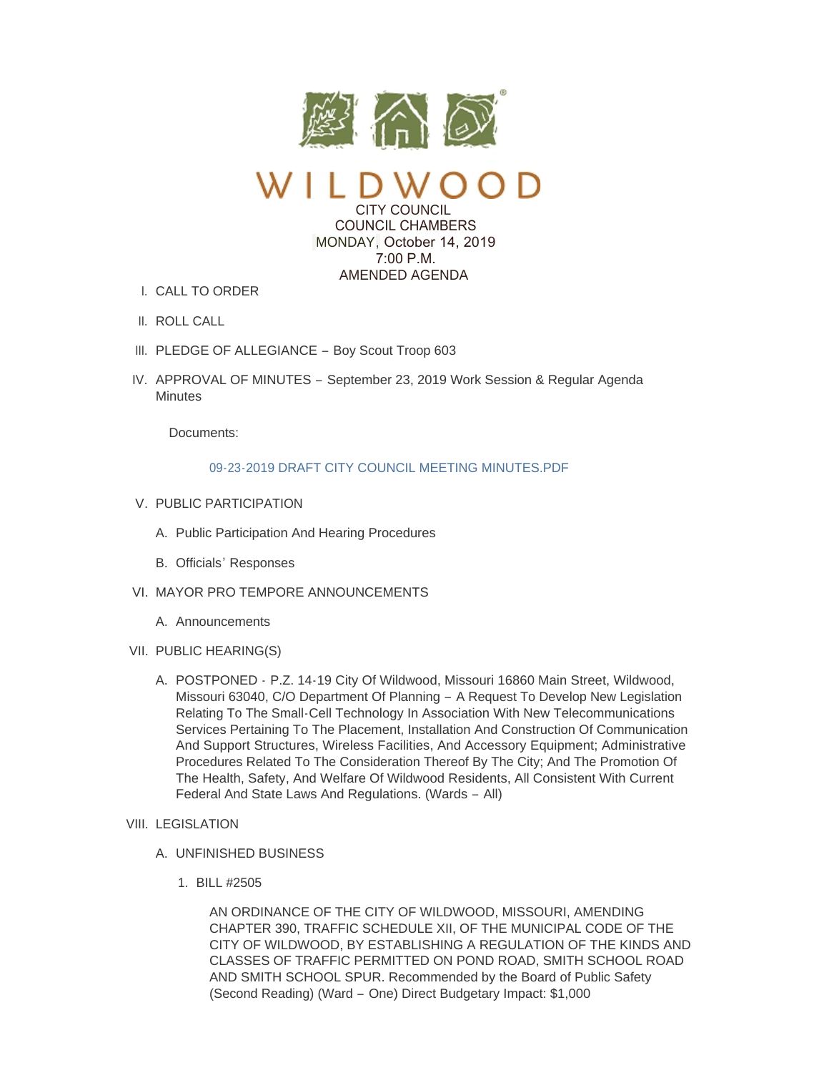

CITY COUNCIL COUNCIL CHAMBERS MONDAY, October 14, 2019  $7:00 \text{ P M}$ AMENDED AGENDA

- CALL TO ORDER I.
- II. ROLL CALL
- III. PLEDGE OF ALLEGIANCE Boy Scout Troop 603
- IV. APPROVAL OF MINUTES September 23, 2019 Work Session & Regular Agenda **Minutes**

Documents:

## [09-23-2019 DRAFT CITY COUNCIL MEETING MINUTES.PDF](https://www.cityofwildwood.com/AgendaCenter/ViewFile/Item/22397?fileID=27832)

- V. PUBLIC PARTICIPATION
	- A. Public Participation And Hearing Procedures
	- B. Officials' Responses
- VI. MAYOR PRO TEMPORE ANNOUNCEMENTS
	- A. Announcements
- VII. PUBLIC HEARING(S)
	- A. POSTPONED P.Z. 14-19 City Of Wildwood, Missouri 16860 Main Street, Wildwood, Missouri 63040, C/O Department Of Planning – A Request To Develop New Legislation Relating To The Small-Cell Technology In Association With New Telecommunications Services Pertaining To The Placement, Installation And Construction Of Communication And Support Structures, Wireless Facilities, And Accessory Equipment; Administrative Procedures Related To The Consideration Thereof By The City; And The Promotion Of The Health, Safety, And Welfare Of Wildwood Residents, All Consistent With Current Federal And State Laws And Regulations. (Wards – All)
- VIII. LEGISLATION
	- UNFINISHED BUSINESS A.
		- BILL #2505 1.

AN ORDINANCE OF THE CITY OF WILDWOOD, MISSOURI, AMENDING CHAPTER 390, TRAFFIC SCHEDULE XII, OF THE MUNICIPAL CODE OF THE CITY OF WILDWOOD, BY ESTABLISHING A REGULATION OF THE KINDS AND CLASSES OF TRAFFIC PERMITTED ON POND ROAD, SMITH SCHOOL ROAD AND SMITH SCHOOL SPUR. Recommended by the Board of Public Safety (Second Reading) (Ward – One) Direct Budgetary Impact: \$1,000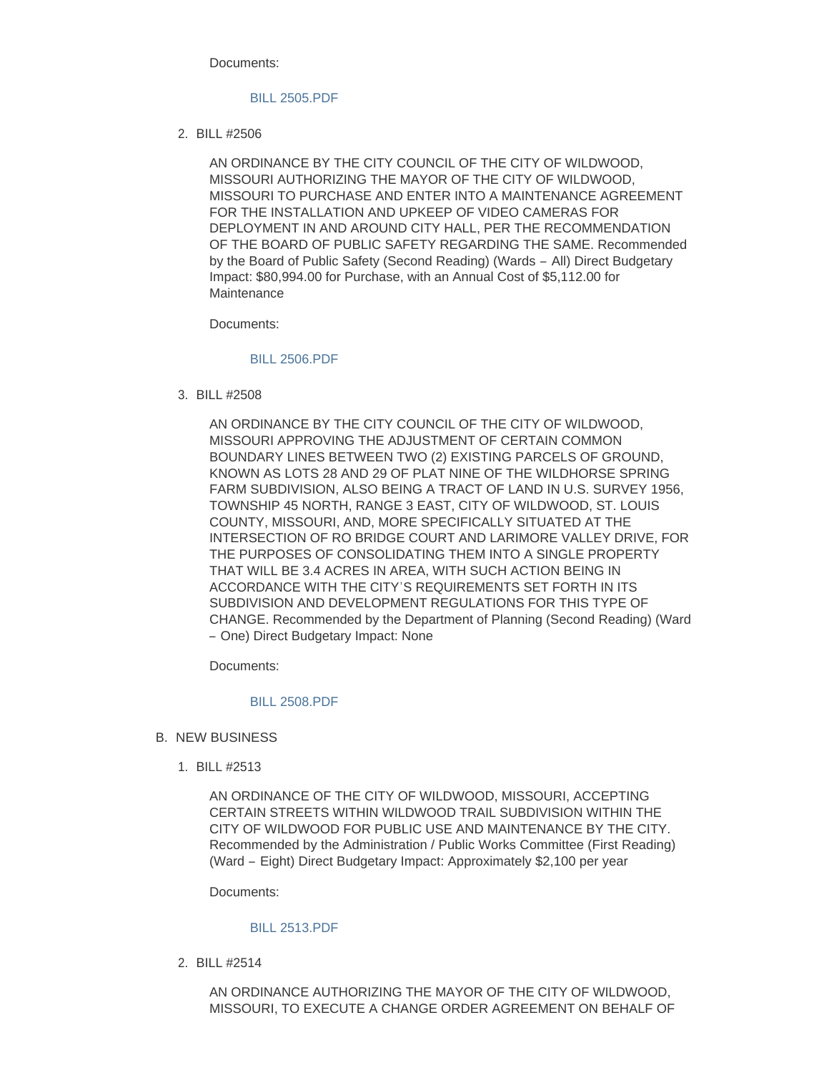Documents:

### [BILL 2505.PDF](https://www.cityofwildwood.com/AgendaCenter/ViewFile/Item/22375?fileID=27813)

BILL #2506 2.

AN ORDINANCE BY THE CITY COUNCIL OF THE CITY OF WILDWOOD, MISSOURI AUTHORIZING THE MAYOR OF THE CITY OF WILDWOOD, MISSOURI TO PURCHASE AND ENTER INTO A MAINTENANCE AGREEMENT FOR THE INSTALLATION AND UPKEEP OF VIDEO CAMERAS FOR DEPLOYMENT IN AND AROUND CITY HALL, PER THE RECOMMENDATION OF THE BOARD OF PUBLIC SAFETY REGARDING THE SAME. Recommended by the Board of Public Safety (Second Reading) (Wards – All) Direct Budgetary Impact: \$80,994.00 for Purchase, with an Annual Cost of \$5,112.00 for **Maintenance** 

Documents:

## [BILL 2506.PDF](https://www.cityofwildwood.com/AgendaCenter/ViewFile/Item/22376?fileID=27814)

BILL #2508 3.

AN ORDINANCE BY THE CITY COUNCIL OF THE CITY OF WILDWOOD, MISSOURI APPROVING THE ADJUSTMENT OF CERTAIN COMMON BOUNDARY LINES BETWEEN TWO (2) EXISTING PARCELS OF GROUND, KNOWN AS LOTS 28 AND 29 OF PLAT NINE OF THE WILDHORSE SPRING FARM SUBDIVISION, ALSO BEING A TRACT OF LAND IN U.S. SURVEY 1956, TOWNSHIP 45 NORTH, RANGE 3 EAST, CITY OF WILDWOOD, ST. LOUIS COUNTY, MISSOURI, AND, MORE SPECIFICALLY SITUATED AT THE INTERSECTION OF RO BRIDGE COURT AND LARIMORE VALLEY DRIVE, FOR THE PURPOSES OF CONSOLIDATING THEM INTO A SINGLE PROPERTY THAT WILL BE 3.4 ACRES IN AREA, WITH SUCH ACTION BEING IN ACCORDANCE WITH THE CITY'S REQUIREMENTS SET FORTH IN ITS SUBDIVISION AND DEVELOPMENT REGULATIONS FOR THIS TYPE OF CHANGE. Recommended by the Department of Planning (Second Reading) (Ward – One) Direct Budgetary Impact: None

Documents:

#### [BILL 2508.PDF](https://www.cityofwildwood.com/AgendaCenter/ViewFile/Item/22377?fileID=27815)

- **B. NEW BUSINESS** 
	- BILL #2513 1.

AN ORDINANCE OF THE CITY OF WILDWOOD, MISSOURI, ACCEPTING CERTAIN STREETS WITHIN WILDWOOD TRAIL SUBDIVISION WITHIN THE CITY OF WILDWOOD FOR PUBLIC USE AND MAINTENANCE BY THE CITY. Recommended by the Administration / Public Works Committee (First Reading) (Ward – Eight) Direct Budgetary Impact: Approximately \$2,100 per year

Documents:

### [BILL 2513.PDF](https://www.cityofwildwood.com/AgendaCenter/ViewFile/Item/22385?fileID=27822)

BILL #2514 2.

AN ORDINANCE AUTHORIZING THE MAYOR OF THE CITY OF WILDWOOD, MISSOURI, TO EXECUTE A CHANGE ORDER AGREEMENT ON BEHALF OF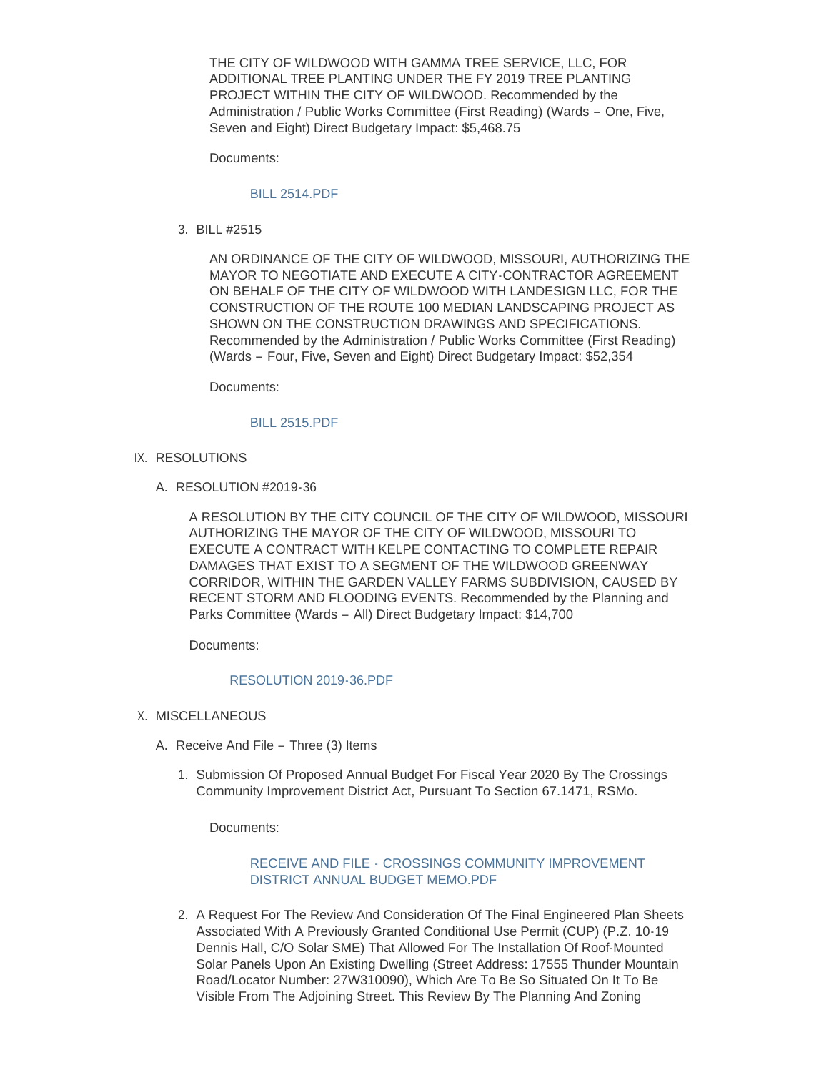THE CITY OF WILDWOOD WITH GAMMA TREE SERVICE, LLC, FOR ADDITIONAL TREE PLANTING UNDER THE FY 2019 TREE PLANTING PROJECT WITHIN THE CITY OF WILDWOOD. Recommended by the Administration / Public Works Committee (First Reading) (Wards – One, Five, Seven and Eight) Direct Budgetary Impact: \$5,468.75

Documents:

### [BILL 2514.PDF](https://www.cityofwildwood.com/AgendaCenter/ViewFile/Item/22386?fileID=27823)

BILL #2515 3.

AN ORDINANCE OF THE CITY OF WILDWOOD, MISSOURI, AUTHORIZING THE MAYOR TO NEGOTIATE AND EXECUTE A CITY-CONTRACTOR AGREEMENT ON BEHALF OF THE CITY OF WILDWOOD WITH LANDESIGN LLC, FOR THE CONSTRUCTION OF THE ROUTE 100 MEDIAN LANDSCAPING PROJECT AS SHOWN ON THE CONSTRUCTION DRAWINGS AND SPECIFICATIONS. Recommended by the Administration / Public Works Committee (First Reading) (Wards – Four, Five, Seven and Eight) Direct Budgetary Impact: \$52,354

Documents:

#### [BILL 2515.PDF](https://www.cityofwildwood.com/AgendaCenter/ViewFile/Item/22387?fileID=27824)

- IX. RESOLUTIONS
	- A. RESOLUTION #2019-36

A RESOLUTION BY THE CITY COUNCIL OF THE CITY OF WILDWOOD, MISSOURI AUTHORIZING THE MAYOR OF THE CITY OF WILDWOOD, MISSOURI TO EXECUTE A CONTRACT WITH KELPE CONTACTING TO COMPLETE REPAIR DAMAGES THAT EXIST TO A SEGMENT OF THE WILDWOOD GREENWAY CORRIDOR, WITHIN THE GARDEN VALLEY FARMS SUBDIVISION, CAUSED BY RECENT STORM AND FLOODING EVENTS. Recommended by the Planning and Parks Committee (Wards – All) Direct Budgetary Impact: \$14,700

Documents:

#### [RESOLUTION 2019-36.PDF](https://www.cityofwildwood.com/AgendaCenter/ViewFile/Item/22395?fileID=27831)

- X. MISCELLANEOUS
	- A. Receive And File Three (3) Items
		- 1. Submission Of Proposed Annual Budget For Fiscal Year 2020 By The Crossings Community Improvement District Act, Pursuant To Section 67.1471, RSMo.

Documents:

# RECEIVE AND FILE - [CROSSINGS COMMUNITY IMPROVEMENT](https://www.cityofwildwood.com/AgendaCenter/ViewFile/Item/22398?fileID=27834)  DISTRICT ANNUAL BUDGET MEMO.PDF

2. A Request For The Review And Consideration Of The Final Engineered Plan Sheets Associated With A Previously Granted Conditional Use Permit (CUP) (P.Z. 10-19 Dennis Hall, C/O Solar SME) That Allowed For The Installation Of Roof-Mounted Solar Panels Upon An Existing Dwelling (Street Address: 17555 Thunder Mountain Road/Locator Number: 27W310090), Which Are To Be So Situated On It To Be Visible From The Adjoining Street. This Review By The Planning And Zoning